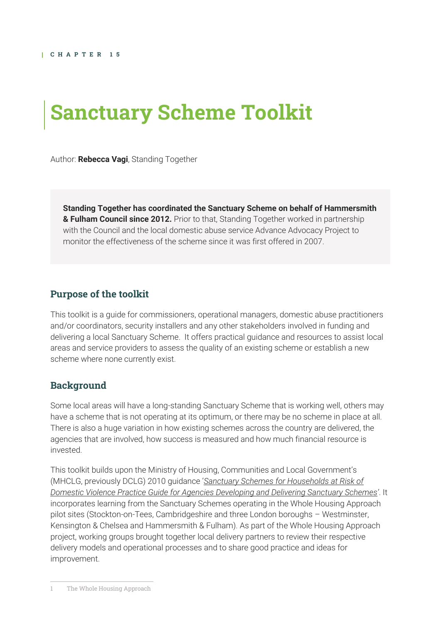# **Sanctuary Scheme Toolkit**

Author: **Rebecca Vagi**, Standing Together

**Standing Together has coordinated the Sanctuary Scheme on behalf of Hammersmith & Fulham Council since 2012.** Prior to that, Standing Together worked in partnership with the Council and the local domestic abuse service Advance Advocacy Project to monitor the effectiveness of the scheme since it was first offered in 2007.

## **Purpose of the toolkit**

This toolkit is a guide for commissioners, operational managers, domestic abuse practitioners and/or coordinators, security installers and any other stakeholders involved in funding and delivering a local Sanctuary Scheme. It offers practical guidance and resources to assist local areas and service providers to assess the quality of an existing scheme or establish a new scheme where none currently exist.

## **Background**

Some local areas will have a long-standing Sanctuary Scheme that is working well, others may have a scheme that is not operating at its optimum, or there may be no scheme in place at all. There is also a huge variation in how existing schemes across the country are delivered, the agencies that are involved, how success is measured and how much financial resource is invested.

This toolkit builds upon the Ministry of Housing, Communities and Local Government's (MHCLG, previously DCLG) 2010 guidance '*[Sanctuary Schemes for Households at Risk of](https://www.gov.uk/government/publications/sanctuary-schemes-for-households-at-risk-of-domestic-violence-guide-for-agencies)  [Domestic Violence Practice Guide for Agencies Developing and Delivering Sanctuary Schemes](https://www.gov.uk/government/publications/sanctuary-schemes-for-households-at-risk-of-domestic-violence-guide-for-agencies)'*. It incorporates learning from the Sanctuary Schemes operating in the Whole Housing Approach pilot sites (Stockton-on-Tees, Cambridgeshire and three London boroughs – Westminster, Kensington & Chelsea and Hammersmith & Fulham). As part of the Whole Housing Approach project, working groups brought together local delivery partners to review their respective delivery models and operational processes and to share good practice and ideas for improvement.

1 The Whole Housing Approach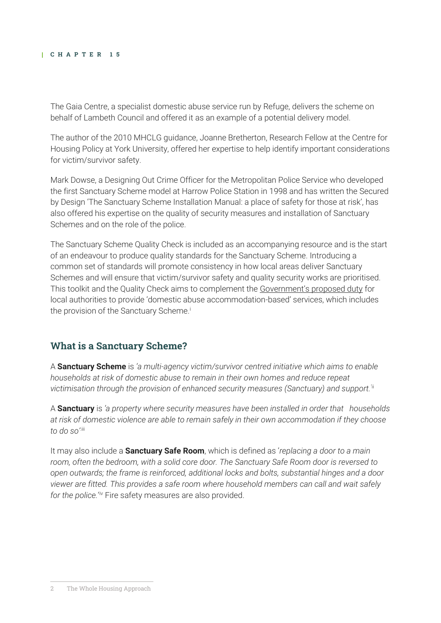The Gaia Centre, a specialist domestic abuse service run by Refuge, delivers the scheme on behalf of Lambeth Council and offered it as an example of a potential delivery model.

The author of the 2010 MHCLG guidance, Joanne Bretherton, Research Fellow at the Centre for Housing Policy at York University, offered her expertise to help identify important considerations for victim/survivor safety.

Mark Dowse, a Designing Out Crime Officer for the Metropolitan Police Service who developed the first Sanctuary Scheme model at Harrow Police Station in 1998 and has written the Secured by Design 'The Sanctuary Scheme Installation Manual: a place of safety for those at risk', has also offered his expertise on the quality of security measures and installation of Sanctuary Schemes and on the role of the police.

The Sanctuary Scheme Quality Check is included as an accompanying resource and is the start of an endeavour to produce quality standards for the Sanctuary Scheme. Introducing a common set of standards will promote consistency in how local areas deliver Sanctuary Schemes and will ensure that victim/survivor safety and quality security works are prioritised. This toolkit and the Quality Check aims to complement the [Government's proposed duty](https://assets.publishing.service.gov.uk/government/uploads/system/uploads/attachment_data/file/839171/Domestic_Abuse_Duty_Gov_Response_to_Consultation.pdf) for local authorities to provide 'domestic abuse accommodation-based' services, which includes the provision of the Sanctuary Scheme.<sup>i</sup>

## **What is a Sanctuary Scheme?**

A **Sanctuary Scheme** is *'a multi-agency victim/survivor centred initiative which aims to enable households at risk of domestic abuse to remain in their own homes and reduce repeat victimisation through the provision of enhanced security measures (Sanctuary) and support.*'ii

A **Sanctuary** is *'a property where security measures have been installed in order that households at risk of domestic violence are able to remain safely in their own accommodation if they choose to do so'*.iii

It may also include a **Sanctuary Safe Room**, which is defined as '*replacing a door to a main room, often the bedroom, with a solid core door. The Sanctuary Safe Room door is reversed to open outwards; the frame is reinforced, additional locks and bolts, substantial hinges and a door viewer are fitted. This provides a safe room where household members can call and wait safely*  for the police.<sup>'iv</sup> Fire safety measures are also provided.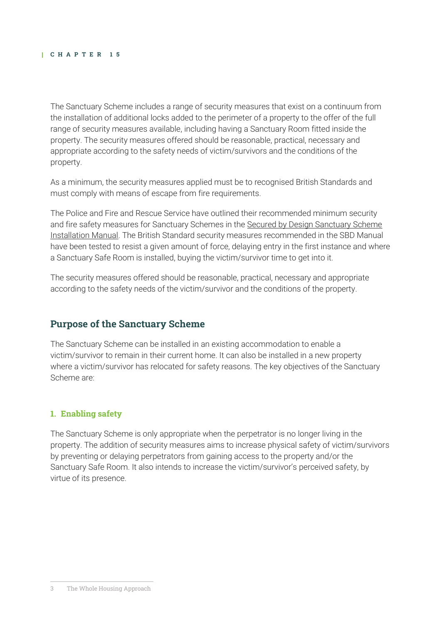The Sanctuary Scheme includes a range of security measures that exist on a continuum from the installation of additional locks added to the perimeter of a property to the offer of the full range of security measures available, including having a Sanctuary Room fitted inside the property. The security measures offered should be reasonable, practical, necessary and appropriate according to the safety needs of victim/survivors and the conditions of the property.

As a minimum, the security measures applied must be to recognised British Standards and must comply with means of escape from fire requirements.

The Police and Fire and Rescue Service have outlined their recommended minimum security and fire safety measures for Sanctuary Schemes in the Secured by Design Sanctuary Scheme [Installation Manual.](https://www.securedbydesign.com/initiatives/sanctuary-scheme) The British Standard security measures recommended in the SBD Manual have been tested to resist a given amount of force, delaying entry in the first instance and where a Sanctuary Safe Room is installed, buying the victim/survivor time to get into it.

The security measures offered should be reasonable, practical, necessary and appropriate according to the safety needs of the victim/survivor and the conditions of the property.

## **Purpose of the Sanctuary Scheme**

The Sanctuary Scheme can be installed in an existing accommodation to enable a victim/survivor to remain in their current home. It can also be installed in a new property where a victim/survivor has relocated for safety reasons. The key objectives of the Sanctuary Scheme are:

## **1. Enabling safety**

The Sanctuary Scheme is only appropriate when the perpetrator is no longer living in the property. The addition of security measures aims to increase physical safety of victim/survivors by preventing or delaying perpetrators from gaining access to the property and/or the Sanctuary Safe Room. It also intends to increase the victim/survivor's perceived safety, by virtue of its presence.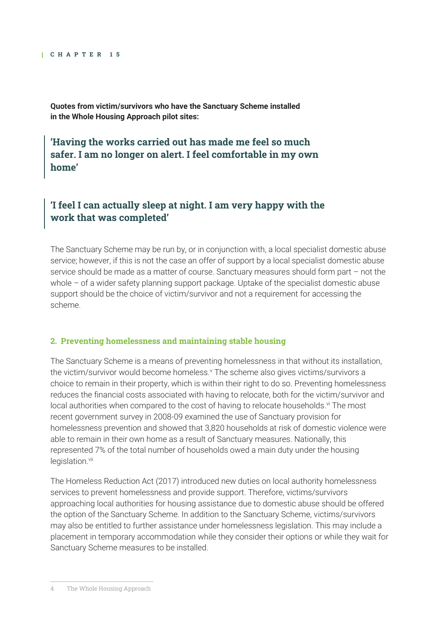**Quotes from victim/survivors who have the Sanctuary Scheme installed in the Whole Housing Approach pilot sites:** 

**'Having the works carried out has made me feel so much safer. I am no longer on alert. I feel comfortable in my own home'**

## **'I feel I can actually sleep at night. I am very happy with the work that was completed'**

The Sanctuary Scheme may be run by, or in conjunction with, a local specialist domestic abuse service; however, if this is not the case an offer of support by a local specialist domestic abuse service should be made as a matter of course. Sanctuary measures should form part – not the whole – of a wider safety planning support package. Uptake of the specialist domestic abuse support should be the choice of victim/survivor and not a requirement for accessing the scheme.

#### **2. Preventing homelessness and maintaining stable housing**

The Sanctuary Scheme is a means of preventing homelessness in that without its installation, the victim/survivor would become homeless.<sup>v</sup> The scheme also gives victims/survivors a choice to remain in their property, which is within their right to do so. Preventing homelessness reduces the financial costs associated with having to relocate, both for the victim/survivor and local authorities when compared to the cost of having to relocate households.<sup>vi</sup> The most recent government survey in 2008-09 examined the use of Sanctuary provision for homelessness prevention and showed that 3,820 households at risk of domestic violence were able to remain in their own home as a result of Sanctuary measures. Nationally, this represented 7% of the total number of households owed a main duty under the housing legislation.<sup>vii</sup>

The Homeless Reduction Act (2017) introduced new duties on local authority homelessness services to prevent homelessness and provide support. Therefore, victims/survivors approaching local authorities for housing assistance due to domestic abuse should be offered the option of the Sanctuary Scheme. In addition to the Sanctuary Scheme, victims/survivors may also be entitled to further assistance under homelessness legislation. This may include a placement in temporary accommodation while they consider their options or while they wait for Sanctuary Scheme measures to be installed.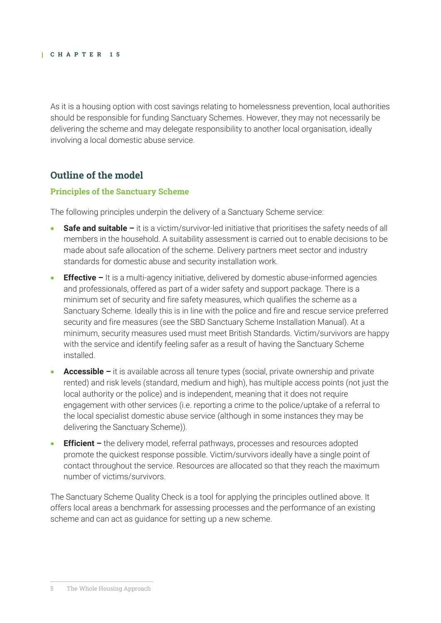As it is a housing option with cost savings relating to homelessness prevention, local authorities should be responsible for funding Sanctuary Schemes. However, they may not necessarily be delivering the scheme and may delegate responsibility to another local organisation, ideally involving a local domestic abuse service.

## **Outline of the model**

## **Principles of the Sanctuary Scheme**

The following principles underpin the delivery of a Sanctuary Scheme service:

- **Safe and suitable –** it is a victim/survivor-led initiative that prioritises the safety needs of all members in the household. A suitability assessment is carried out to enable decisions to be made about safe allocation of the scheme. Delivery partners meet sector and industry standards for domestic abuse and security installation work.
- **Effective –** It is a multi-agency initiative, delivered by domestic abuse-informed agencies and professionals, offered as part of a wider safety and support package. There is a minimum set of security and fire safety measures, which qualifies the scheme as a Sanctuary Scheme. Ideally this is in line with the police and fire and rescue service preferred security and fire measures (see the SBD Sanctuary Scheme Installation Manual). At a minimum, security measures used must meet British Standards. Victim/survivors are happy with the service and identify feeling safer as a result of having the Sanctuary Scheme installed.
- **Accessible –** it is available across all tenure types (social, private ownership and private rented) and risk levels (standard, medium and high), has multiple access points (not just the local authority or the police) and is independent, meaning that it does not require engagement with other services (i.e. reporting a crime to the police/uptake of a referral to the local specialist domestic abuse service (although in some instances they may be delivering the Sanctuary Scheme)).
- **Efficient –** the delivery model, referral pathways, processes and resources adopted promote the quickest response possible. Victim/survivors ideally have a single point of contact throughout the service. Resources are allocated so that they reach the maximum number of victims/survivors.

The Sanctuary Scheme Quality Check is a tool for applying the principles outlined above. It offers local areas a benchmark for assessing processes and the performance of an existing scheme and can act as guidance for setting up a new scheme.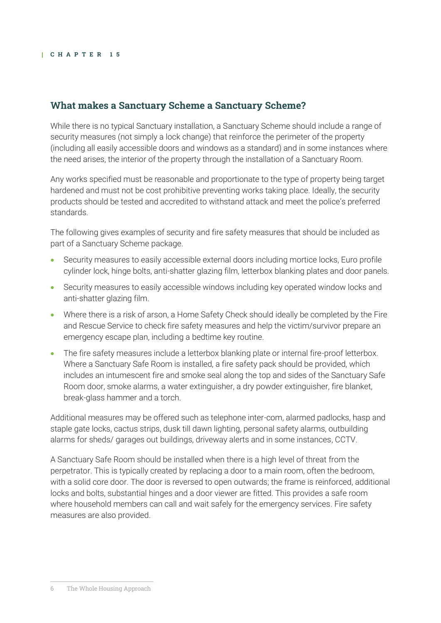## **What makes a Sanctuary Scheme a Sanctuary Scheme?**

While there is no typical Sanctuary installation, a Sanctuary Scheme should include a range of security measures (not simply a lock change) that reinforce the perimeter of the property (including all easily accessible doors and windows as a standard) and in some instances where the need arises, the interior of the property through the installation of a Sanctuary Room.

Any works specified must be reasonable and proportionate to the type of property being target hardened and must not be cost prohibitive preventing works taking place. Ideally, the security products should be tested and accredited to withstand attack and meet the police's preferred standards.

The following gives examples of security and fire safety measures that should be included as part of a Sanctuary Scheme package.

- Security measures to easily accessible external doors including mortice locks, Euro profile cylinder lock, hinge bolts, anti-shatter glazing film, letterbox blanking plates and door panels.
- Security measures to easily accessible windows including key operated window locks and anti-shatter glazing film.
- Where there is a risk of arson, a Home Safety Check should ideally be completed by the Fire and Rescue Service to check fire safety measures and help the victim/survivor prepare an emergency escape plan, including a bedtime key routine.
- The fire safety measures include a letterbox blanking plate or internal fire-proof letterbox. Where a Sanctuary Safe Room is installed, a fire safety pack should be provided, which includes an intumescent fire and smoke seal along the top and sides of the Sanctuary Safe Room door, smoke alarms, a water extinguisher, a dry powder extinguisher, fire blanket, break-glass hammer and a torch.

Additional measures may be offered such as telephone inter-com, alarmed padlocks, hasp and staple gate locks, cactus strips, dusk till dawn lighting, personal safety alarms, outbuilding alarms for sheds/ garages out buildings, driveway alerts and in some instances, CCTV.

A Sanctuary Safe Room should be installed when there is a high level of threat from the perpetrator. This is typically created by replacing a door to a main room, often the bedroom, with a solid core door. The door is reversed to open outwards; the frame is reinforced, additional locks and bolts, substantial hinges and a door viewer are fitted. This provides a safe room where household members can call and wait safely for the emergency services. Fire safety measures are also provided.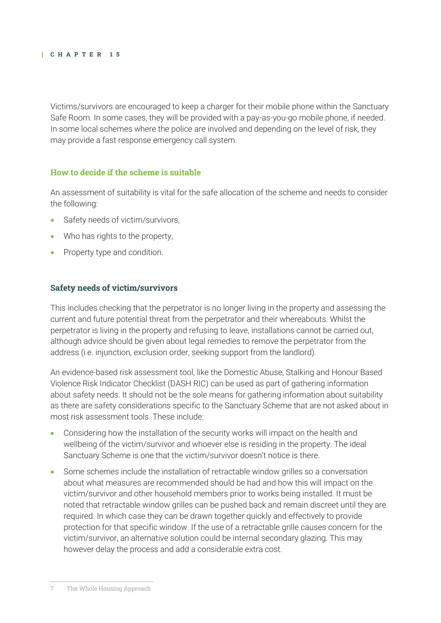Victims/survivors are encouraged to keep a charger for their mobile phone within the Sanctuary Safe Room. In some cases, they will be provided with a pay-as-you-go mobile phone, if needed. In some local schemes where the police are involved and depending on the level of risk, they may provide a fast response emergency call system.

#### **How to decide if the scheme is suitable**

An assessment of suitability is vital for the safe allocation of the scheme and needs to consider the following:

- Safety needs of victim/survivors,
- Who has rights to the property,
- Property type and condition.

#### **Safety needs of victim/survivors**

This includes checking that the perpetrator is no longer living in the property and assessing the current and future potential threat from the perpetrator and their whereabouts. Whilst the perpetrator is living in the property and refusing to leave, installations cannot be carried out, although advice should be given about legal remedies to remove the perpetrator from the address (i.e. injunction, exclusion order, seeking support from the landlord).

An evidence-based risk assessment tool, like the Domestic Abuse, Stalking and Honour Based Violence Risk Indicator Checklist (DASH RIC) can be used as part of gathering information about safety needs. It should not be the sole means for gathering information about suitability as there are safety considerations specific to the Sanctuary Scheme that are not asked about in most risk assessment tools. These include:

- Considering how the installation of the security works will impact on the health and wellbeing of the victim/survivor and whoever else is residing in the property. The ideal Sanctuary Scheme is one that the victim/survivor doesn't notice is there.
- Some schemes include the installation of retractable window grilles so a conversation about what measures are recommended should be had and how this will impact on the victim/survivor and other household members prior to works being installed. It must be noted that retractable window grilles can be pushed back and remain discreet until they are required. In which case they can be drawn together quickly and effectively to provide protection for that specific window. If the use of a retractable grille causes concern for the victim/survivor, an alternative solution could be internal secondary glazing. This may however delay the process and add a considerable extra cost.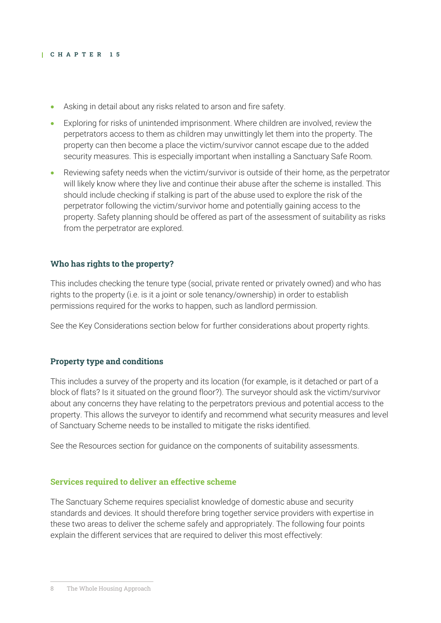- Asking in detail about any risks related to arson and fire safety.
- Exploring for risks of unintended imprisonment. Where children are involved, review the perpetrators access to them as children may unwittingly let them into the property. The property can then become a place the victim/survivor cannot escape due to the added security measures. This is especially important when installing a Sanctuary Safe Room.
- Reviewing safety needs when the victim/survivor is outside of their home, as the perpetrator will likely know where they live and continue their abuse after the scheme is installed. This should include checking if stalking is part of the abuse used to explore the risk of the perpetrator following the victim/survivor home and potentially gaining access to the property. Safety planning should be offered as part of the assessment of suitability as risks from the perpetrator are explored.

#### **Who has rights to the property?**

This includes checking the tenure type (social, private rented or privately owned) and who has rights to the property (i.e. is it a joint or sole tenancy/ownership) in order to establish permissions required for the works to happen, such as landlord permission.

See the Key Considerations section below for further considerations about property rights.

#### **Property type and conditions**

This includes a survey of the property and its location (for example, is it detached or part of a block of flats? Is it situated on the ground floor?). The surveyor should ask the victim/survivor about any concerns they have relating to the perpetrators previous and potential access to the property. This allows the surveyor to identify and recommend what security measures and level of Sanctuary Scheme needs to be installed to mitigate the risks identified.

See the Resources section for guidance on the components of suitability assessments.

#### **Services required to deliver an effective scheme**

The Sanctuary Scheme requires specialist knowledge of domestic abuse and security standards and devices. It should therefore bring together service providers with expertise in these two areas to deliver the scheme safely and appropriately. The following four points explain the different services that are required to deliver this most effectively: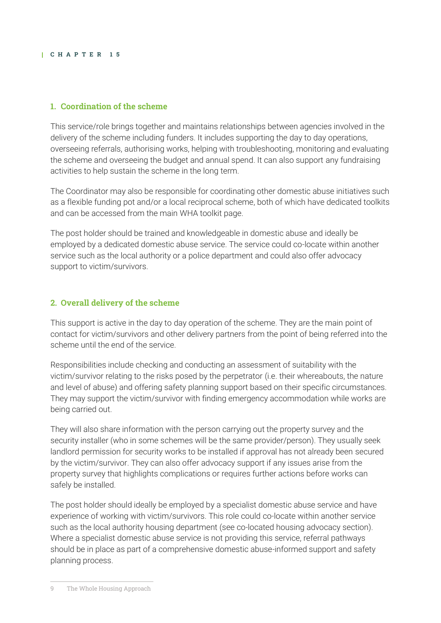#### **1. Coordination of the scheme**

This service/role brings together and maintains relationships between agencies involved in the delivery of the scheme including funders. It includes supporting the day to day operations, overseeing referrals, authorising works, helping with troubleshooting, monitoring and evaluating the scheme and overseeing the budget and annual spend. It can also support any fundraising activities to help sustain the scheme in the long term.

The Coordinator may also be responsible for coordinating other domestic abuse initiatives such as a flexible funding pot and/or a local reciprocal scheme, both of which have dedicated toolkits and can be accessed from the main WHA toolkit page.

The post holder should be trained and knowledgeable in domestic abuse and ideally be employed by a dedicated domestic abuse service. The service could co-locate within another service such as the local authority or a police department and could also offer advocacy support to victim/survivors.

## **2. Overall delivery of the scheme**

This support is active in the day to day operation of the scheme. They are the main point of contact for victim/survivors and other delivery partners from the point of being referred into the scheme until the end of the service.

Responsibilities include checking and conducting an assessment of suitability with the victim/survivor relating to the risks posed by the perpetrator (i.e. their whereabouts, the nature and level of abuse) and offering safety planning support based on their specific circumstances. They may support the victim/survivor with finding emergency accommodation while works are being carried out.

They will also share information with the person carrying out the property survey and the security installer (who in some schemes will be the same provider/person). They usually seek landlord permission for security works to be installed if approval has not already been secured by the victim/survivor. They can also offer advocacy support if any issues arise from the property survey that highlights complications or requires further actions before works can safely be installed.

The post holder should ideally be employed by a specialist domestic abuse service and have experience of working with victim/survivors. This role could co-locate within another service such as the local authority housing department (see co-located housing advocacy section). Where a specialist domestic abuse service is not providing this service, referral pathways should be in place as part of a comprehensive domestic abuse-informed support and safety planning process.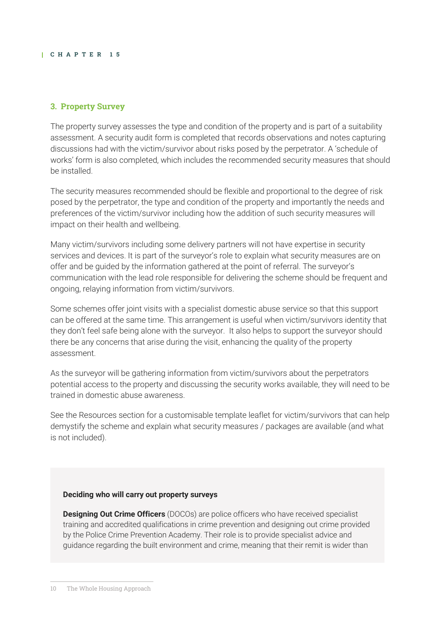## **3. Property Survey**

The property survey assesses the type and condition of the property and is part of a suitability assessment. A security audit form is completed that records observations and notes capturing discussions had with the victim/survivor about risks posed by the perpetrator. A 'schedule of works' form is also completed, which includes the recommended security measures that should be installed.

The security measures recommended should be flexible and proportional to the degree of risk posed by the perpetrator, the type and condition of the property and importantly the needs and preferences of the victim/survivor including how the addition of such security measures will impact on their health and wellbeing.

Many victim/survivors including some delivery partners will not have expertise in security services and devices. It is part of the surveyor's role to explain what security measures are on offer and be guided by the information gathered at the point of referral. The surveyor's communication with the lead role responsible for delivering the scheme should be frequent and ongoing, relaying information from victim/survivors.

Some schemes offer joint visits with a specialist domestic abuse service so that this support can be offered at the same time. This arrangement is useful when victim/survivors identity that they don't feel safe being alone with the surveyor. It also helps to support the surveyor should there be any concerns that arise during the visit, enhancing the quality of the property assessment.

As the surveyor will be gathering information from victim/survivors about the perpetrators potential access to the property and discussing the security works available, they will need to be trained in domestic abuse awareness.

See the Resources section for a customisable template leaflet for victim/survivors that can help demystify the scheme and explain what security measures / packages are available (and what is not included).

#### **Deciding who will carry out property surveys**

**Designing Out Crime Officers** (DOCOs) are police officers who have received specialist training and accredited qualifications in crime prevention and designing out crime provided by the Police Crime Prevention Academy. Their role is to provide specialist advice and guidance regarding the built environment and crime, meaning that their remit is wider than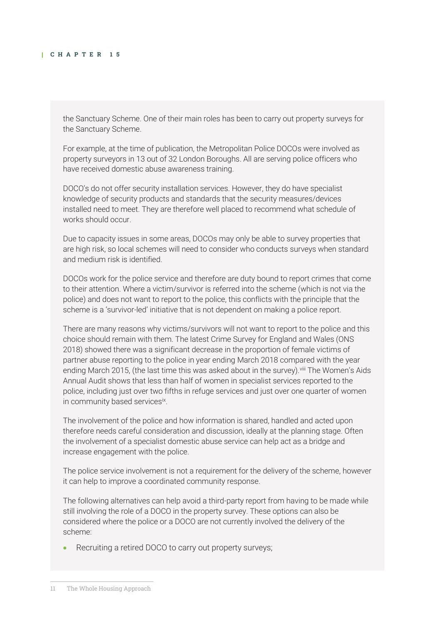the Sanctuary Scheme. One of their main roles has been to carry out property surveys for the Sanctuary Scheme.

For example, at the time of publication, the Metropolitan Police DOCOs were involved as property surveyors in 13 out of 32 London Boroughs. All are serving police officers who have received domestic abuse awareness training.

DOCO's do not offer security installation services. However, they do have specialist knowledge of security products and standards that the security measures/devices installed need to meet. They are therefore well placed to recommend what schedule of works should occur.

Due to capacity issues in some areas, DOCOs may only be able to survey properties that are high risk, so local schemes will need to consider who conducts surveys when standard and medium risk is identified.

DOCOs work for the police service and therefore are duty bound to report crimes that come to their attention. Where a victim/survivor is referred into the scheme (which is not via the police) and does not want to report to the police, this conflicts with the principle that the scheme is a 'survivor-led' initiative that is not dependent on making a police report.

There are many reasons why victims/survivors will not want to report to the police and this choice should remain with them. The latest Crime Survey for England and Wales (ONS 2018) showed there was a significant decrease in the proportion of female victims of partner abuse reporting to the police in year ending March 2018 compared with the year ending March 2015, (the last time this was asked about in the survey).<sup>viii</sup> The Women's Aids Annual Audit shows that less than half of women in specialist services reported to the police, including just over two fifths in refuge services and just over one quarter of women in community based servicesix.

The involvement of the police and how information is shared, handled and acted upon therefore needs careful consideration and discussion, ideally at the planning stage. Often the involvement of a specialist domestic abuse service can help act as a bridge and increase engagement with the police.

The police service involvement is not a requirement for the delivery of the scheme, however it can help to improve a coordinated community response.

The following alternatives can help avoid a third-party report from having to be made while still involving the role of a DOCO in the property survey. These options can also be considered where the police or a DOCO are not currently involved the delivery of the scheme:

Recruiting a retired DOCO to carry out property surveys;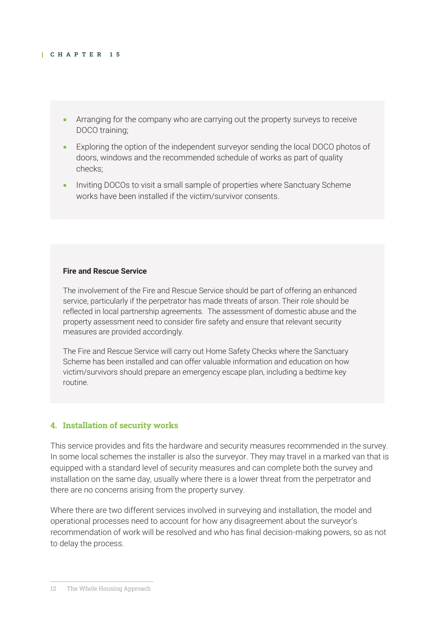- Arranging for the company who are carrying out the property surveys to receive DOCO training;
- Exploring the option of the independent surveyor sending the local DOCO photos of doors, windows and the recommended schedule of works as part of quality checks;
- Inviting DOCOs to visit a small sample of properties where Sanctuary Scheme works have been installed if the victim/survivor consents.

#### **Fire and Rescue Service**

The involvement of the Fire and Rescue Service should be part of offering an enhanced service, particularly if the perpetrator has made threats of arson. Their role should be reflected in local partnership agreements. The assessment of domestic abuse and the property assessment need to consider fire safety and ensure that relevant security measures are provided accordingly.

The Fire and Rescue Service will carry out Home Safety Checks where the Sanctuary Scheme has been installed and can offer valuable information and education on how victim/survivors should prepare an emergency escape plan, including a bedtime key routine.

#### **4. Installation of security works**

This service provides and fits the hardware and security measures recommended in the survey. In some local schemes the installer is also the surveyor. They may travel in a marked van that is equipped with a standard level of security measures and can complete both the survey and installation on the same day, usually where there is a lower threat from the perpetrator and there are no concerns arising from the property survey.

Where there are two different services involved in surveying and installation, the model and operational processes need to account for how any disagreement about the surveyor's recommendation of work will be resolved and who has final decision-making powers, so as not to delay the process.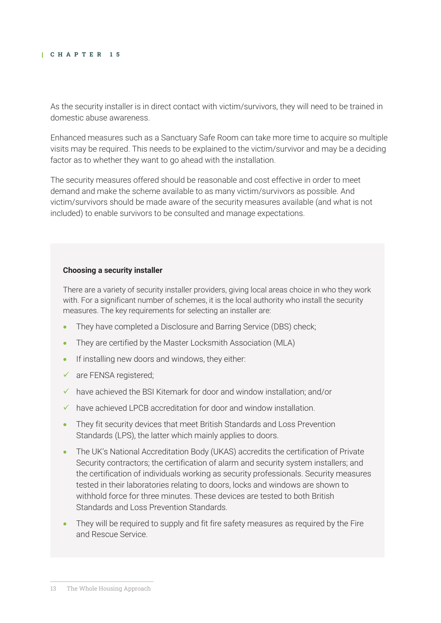As the security installer is in direct contact with victim/survivors, they will need to be trained in domestic abuse awareness.

Enhanced measures such as a Sanctuary Safe Room can take more time to acquire so multiple visits may be required. This needs to be explained to the victim/survivor and may be a deciding factor as to whether they want to go ahead with the installation.

The security measures offered should be reasonable and cost effective in order to meet demand and make the scheme available to as many victim/survivors as possible. And victim/survivors should be made aware of the security measures available (and what is not included) to enable survivors to be consulted and manage expectations.

#### **Choosing a security installer**

There are a variety of security installer providers, giving local areas choice in who they work with. For a significant number of schemes, it is the local authority who install the security measures. The key requirements for selecting an installer are:

- They have completed a Disclosure and Barring Service (DBS) check;
- They are certified by the Master Locksmith Association (MLA)
- If installing new doors and windows, they either:
- $\checkmark$  are FENSA registered;
- ✓ have achieved the BSI Kitemark for door and window installation; and/or
- ✓ have achieved LPCB accreditation for door and window installation.
- They fit security devices that meet British Standards and Loss Prevention Standards (LPS), the latter which mainly applies to doors.
- The UK's National Accreditation Body (UKAS) accredits the certification of Private Security contractors; the certification of alarm and security system installers; and the certification of individuals working as security professionals. Security measures tested in their laboratories relating to doors, locks and windows are shown to withhold force for three minutes. These devices are tested to both British Standards and Loss Prevention Standards.
- They will be required to supply and fit fire safety measures as required by the Fire and Rescue Service.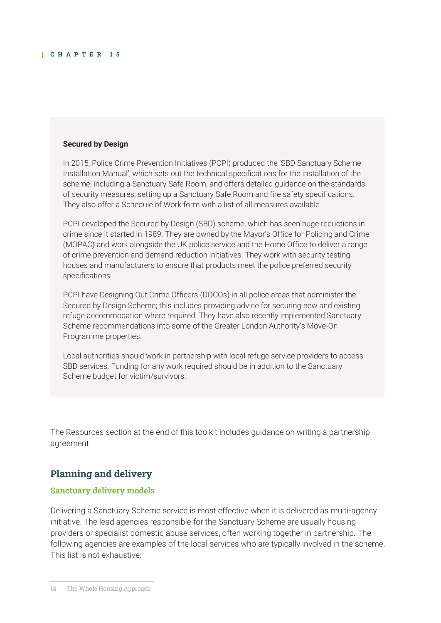#### **Secured by Design**

In 2015, Police Crime Prevention Initiatives (PCPI) produced the 'SBD Sanctuary Scheme Installation Manual', which sets out the technical specifications for the installation of the scheme, including a Sanctuary Safe Room, and offers detailed guidance on the standards of security measures, setting up a Sanctuary Safe Room and fire safety specifications. They also offer a Schedule of Work form with a list of all measures available.

PCPI developed the Secured by Design (SBD) scheme, which has seen huge reductions in crime since it started in 1989. They are owned by the Mayor's Office for Policing and Crime (MOPAC) and work alongside the UK police service and the Home Office to deliver a range of crime prevention and demand reduction initiatives. They work with security testing houses and manufacturers to ensure that products meet the police preferred security specifications.

PCPI have Designing Out Crime Officers (DOCOs) in all police areas that administer the Secured by Design Scheme; this includes providing advice for securing new and existing refuge accommodation where required. They have also recently implemented Sanctuary Scheme recommendations into some of the Greater London Authority's Move-On Programme properties.

Local authorities should work in partnership with local refuge service providers to access SBD services. Funding for any work required should be in addition to the Sanctuary Scheme budget for victim/survivors.

The Resources section at the end of this toolkit includes guidance on writing a partnership agreement.

## **Planning and delivery**

#### **Sanctuary delivery models**

Delivering a Sanctuary Scheme service is most effective when it is delivered as multi-agency initiative. The lead agencies responsible for the Sanctuary Scheme are usually housing providers or specialist domestic abuse services, often working together in partnership. The following agencies are examples of the local services who are typically involved in the scheme. This list is not exhaustive: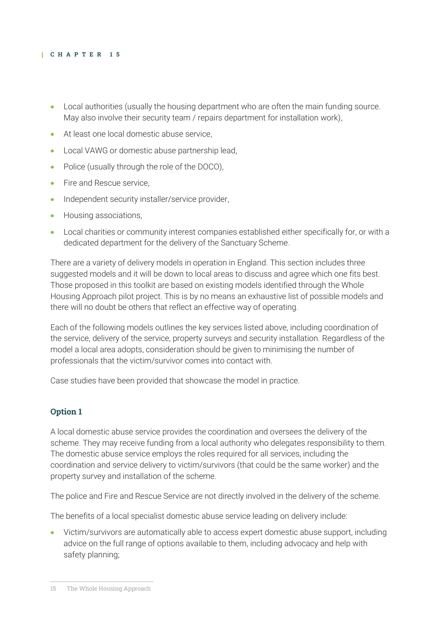- Local authorities (usually the housing department who are often the main funding source. May also involve their security team / repairs department for installation work),
- At least one local domestic abuse service.
- Local VAWG or domestic abuse partnership lead,
- Police (usually through the role of the DOCO),
- Fire and Rescue service.
- Independent security installer/service provider,
- Housing associations,
- Local charities or community interest companies established either specifically for, or with a dedicated department for the delivery of the Sanctuary Scheme.

There are a variety of delivery models in operation in England. This section includes three suggested models and it will be down to local areas to discuss and agree which one fits best. Those proposed in this toolkit are based on existing models identified through the Whole Housing Approach pilot project. This is by no means an exhaustive list of possible models and there will no doubt be others that reflect an effective way of operating.

Each of the following models outlines the key services listed above, including coordination of the service, delivery of the service, property surveys and security installation. Regardless of the model a local area adopts, consideration should be given to minimising the number of professionals that the victim/survivor comes into contact with.

Case studies have been provided that showcase the model in practice.

#### **Option 1**

A local domestic abuse service provides the coordination and oversees the delivery of the scheme. They may receive funding from a local authority who delegates responsibility to them. The domestic abuse service employs the roles required for all services, including the coordination and service delivery to victim/survivors (that could be the same worker) and the property survey and installation of the scheme.

The police and Fire and Rescue Service are not directly involved in the delivery of the scheme.

The benefits of a local specialist domestic abuse service leading on delivery include:

• Victim/survivors are automatically able to access expert domestic abuse support, including advice on the full range of options available to them, including advocacy and help with safety planning;

<sup>15</sup> The Whole Housing Approach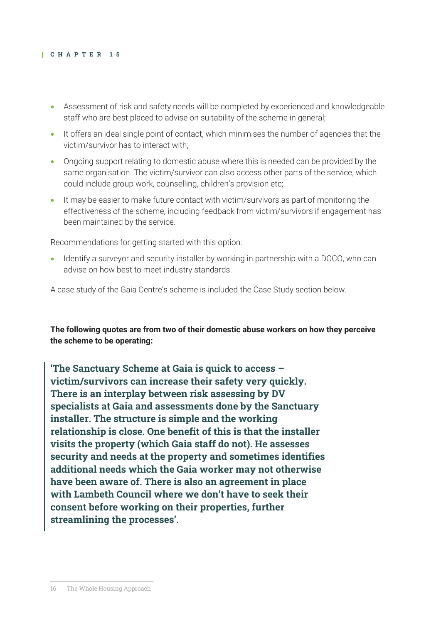- Assessment of risk and safety needs will be completed by experienced and knowledgeable staff who are best placed to advise on suitability of the scheme in general;
- It offers an ideal single point of contact, which minimises the number of agencies that the victim/survivor has to interact with;
- Ongoing support relating to domestic abuse where this is needed can be provided by the same organisation. The victim/survivor can also access other parts of the service, which could include group work, counselling, children's provision etc;
- It may be easier to make future contact with victim/survivors as part of monitoring the effectiveness of the scheme, including feedback from victim/survivors if engagement has been maintained by the service.

Recommendations for getting started with this option:

• Identify a surveyor and security installer by working in partnership with a DOCO, who can advise on how best to meet industry standards.

A case study of the Gaia Centre's scheme is included the Case Study section below.

**The following quotes are from two of their domestic abuse workers on how they perceive the scheme to be operating:** 

**'The Sanctuary Scheme at Gaia is quick to access – victim/survivors can increase their safety very quickly. There is an interplay between risk assessing by DV specialists at Gaia and assessments done by the Sanctuary installer. The structure is simple and the working relationship is close. One benefit of this is that the installer visits the property (which Gaia staff do not). He assesses security and needs at the property and sometimes identifies additional needs which the Gaia worker may not otherwise have been aware of. There is also an agreement in place with Lambeth Council where we don't have to seek their consent before working on their properties, further streamlining the processes'.**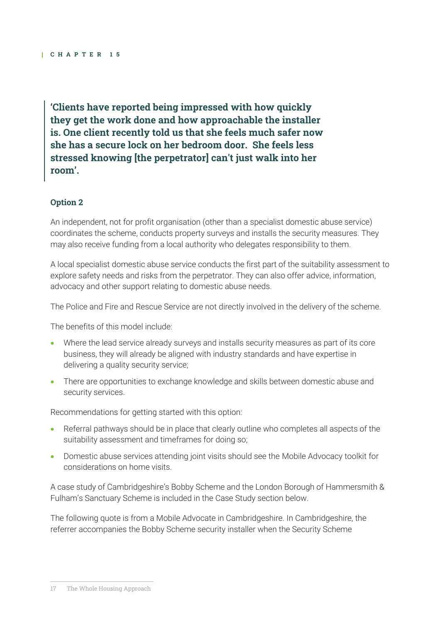**'Clients have reported being impressed with how quickly they get the work done and how approachable the installer is. One client recently told us that she feels much safer now she has a secure lock on her bedroom door. She feels less stressed knowing [the perpetrator] can't just walk into her room'.**

#### **Option 2**

An independent, not for profit organisation (other than a specialist domestic abuse service) coordinates the scheme, conducts property surveys and installs the security measures. They may also receive funding from a local authority who delegates responsibility to them.

A local specialist domestic abuse service conducts the first part of the suitability assessment to explore safety needs and risks from the perpetrator. They can also offer advice, information, advocacy and other support relating to domestic abuse needs.

The Police and Fire and Rescue Service are not directly involved in the delivery of the scheme.

The benefits of this model include:

- Where the lead service already surveys and installs security measures as part of its core business, they will already be aligned with industry standards and have expertise in delivering a quality security service;
- There are opportunities to exchange knowledge and skills between domestic abuse and security services.

Recommendations for getting started with this option:

- Referral pathways should be in place that clearly outline who completes all aspects of the suitability assessment and timeframes for doing so;
- Domestic abuse services attending joint visits should see the Mobile Advocacy toolkit for considerations on home visits.

A case study of Cambridgeshire's Bobby Scheme and the London Borough of Hammersmith & Fulham's Sanctuary Scheme is included in the Case Study section below.

The following quote is from a Mobile Advocate in Cambridgeshire. In Cambridgeshire, the referrer accompanies the Bobby Scheme security installer when the Security Scheme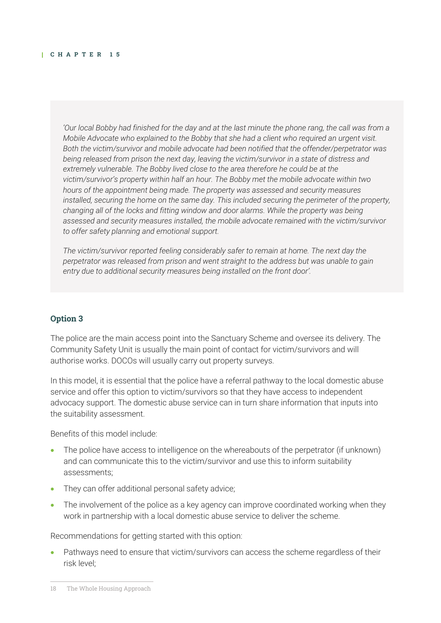*'Our local Bobby had finished for the day and at the last minute the phone rang, the call was from a Mobile Advocate who explained to the Bobby that she had a client who required an urgent visit. Both the victim/survivor and mobile advocate had been notified that the offender/perpetrator was being released from prison the next day, leaving the victim/survivor in a state of distress and extremely vulnerable. The Bobby lived close to the area therefore he could be at the victim/survivor's property within half an hour. The Bobby met the mobile advocate within two hours of the appointment being made. The property was assessed and security measures installed, securing the home on the same day. This included securing the perimeter of the property, changing all of the locks and fitting window and door alarms. While the property was being assessed and security measures installed, the mobile advocate remained with the victim/survivor to offer safety planning and emotional support.* 

*The victim/survivor reported feeling considerably safer to remain at home. The next day the perpetrator was released from prison and went straight to the address but was unable to gain entry due to additional security measures being installed on the front door'.* 

#### **Option 3**

The police are the main access point into the Sanctuary Scheme and oversee its delivery. The Community Safety Unit is usually the main point of contact for victim/survivors and will authorise works. DOCOs will usually carry out property surveys.

In this model, it is essential that the police have a referral pathway to the local domestic abuse service and offer this option to victim/survivors so that they have access to independent advocacy support. The domestic abuse service can in turn share information that inputs into the suitability assessment.

Benefits of this model include:

- The police have access to intelligence on the whereabouts of the perpetrator (if unknown) and can communicate this to the victim/survivor and use this to inform suitability assessments;
- They can offer additional personal safety advice;
- The involvement of the police as a key agency can improve coordinated working when they work in partnership with a local domestic abuse service to deliver the scheme.

Recommendations for getting started with this option:

• Pathways need to ensure that victim/survivors can access the scheme regardless of their risk level;

<sup>18</sup> The Whole Housing Approach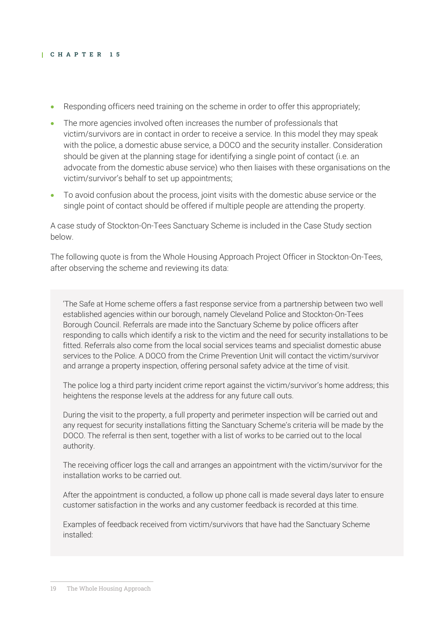- Responding officers need training on the scheme in order to offer this appropriately;
- The more agencies involved often increases the number of professionals that victim/survivors are in contact in order to receive a service. In this model they may speak with the police, a domestic abuse service, a DOCO and the security installer. Consideration should be given at the planning stage for identifying a single point of contact (i.e. an advocate from the domestic abuse service) who then liaises with these organisations on the victim/survivor's behalf to set up appointments;
- To avoid confusion about the process, joint visits with the domestic abuse service or the single point of contact should be offered if multiple people are attending the property.

A case study of Stockton-On-Tees Sanctuary Scheme is included in the Case Study section below.

The following quote is from the Whole Housing Approach Project Officer in Stockton-On-Tees, after observing the scheme and reviewing its data:

'The Safe at Home scheme offers a fast response service from a partnership between two well established agencies within our borough, namely Cleveland Police and Stockton-On-Tees Borough Council. Referrals are made into the Sanctuary Scheme by police officers after responding to calls which identify a risk to the victim and the need for security installations to be fitted. Referrals also come from the local social services teams and specialist domestic abuse services to the Police. A DOCO from the Crime Prevention Unit will contact the victim/survivor and arrange a property inspection, offering personal safety advice at the time of visit.

The police log a third party incident crime report against the victim/survivor's home address; this heightens the response levels at the address for any future call outs.

During the visit to the property, a full property and perimeter inspection will be carried out and any request for security installations fitting the Sanctuary Scheme's criteria will be made by the DOCO. The referral is then sent, together with a list of works to be carried out to the local authority.

The receiving officer logs the call and arranges an appointment with the victim/survivor for the installation works to be carried out.

After the appointment is conducted, a follow up phone call is made several days later to ensure customer satisfaction in the works and any customer feedback is recorded at this time.

Examples of feedback received from victim/survivors that have had the Sanctuary Scheme installed: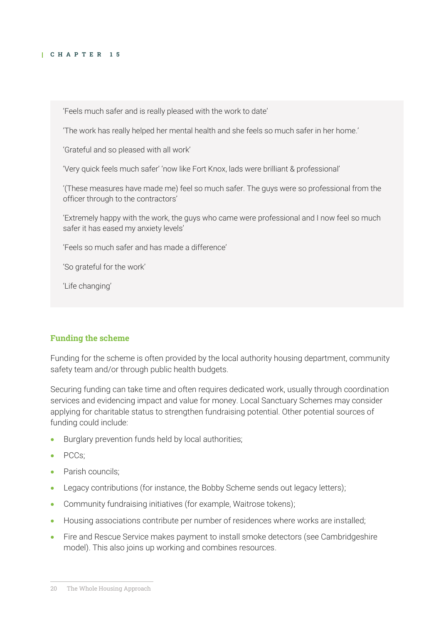'Feels much safer and is really pleased with the work to date'

'The work has really helped her mental health and she feels so much safer in her home.'

'Grateful and so pleased with all work'

'Very quick feels much safer' 'now like Fort Knox, lads were brilliant & professional'

'(These measures have made me) feel so much safer. The guys were so professional from the officer through to the contractors'

'Extremely happy with the work, the guys who came were professional and I now feel so much safer it has eased my anxiety levels'

'Feels so much safer and has made a difference'

'So grateful for the work'

'Life changing'

#### **Funding the scheme**

Funding for the scheme is often provided by the local authority housing department, community safety team and/or through public health budgets.

Securing funding can take time and often requires dedicated work, usually through coordination services and evidencing impact and value for money. Local Sanctuary Schemes may consider applying for charitable status to strengthen fundraising potential. Other potential sources of funding could include:

- Burglary prevention funds held by local authorities;
- PCCs;
- Parish councils:
- Legacy contributions (for instance, the Bobby Scheme sends out legacy letters);
- Community fundraising initiatives (for example, Waitrose tokens);
- Housing associations contribute per number of residences where works are installed;
- Fire and Rescue Service makes payment to install smoke detectors (see Cambridgeshire model). This also joins up working and combines resources.

<sup>20</sup> The Whole Housing Approach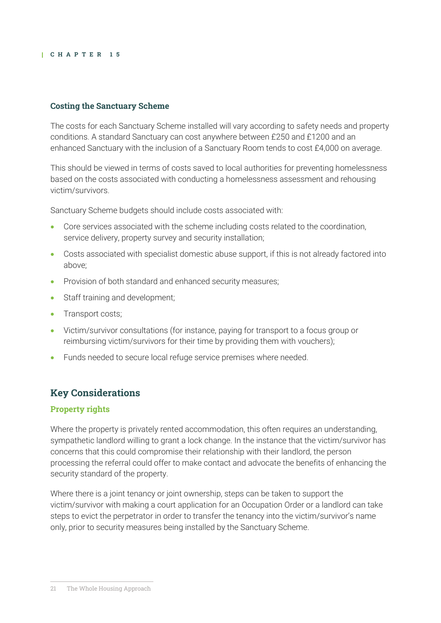## **Costing the Sanctuary Scheme**

The costs for each Sanctuary Scheme installed will vary according to safety needs and property conditions. A standard Sanctuary can cost anywhere between £250 and £1200 and an enhanced Sanctuary with the inclusion of a Sanctuary Room tends to cost £4,000 on average.

This should be viewed in terms of costs saved to local authorities for preventing homelessness based on the costs associated with conducting a homelessness assessment and rehousing victim/survivors.

Sanctuary Scheme budgets should include costs associated with:

- Core services associated with the scheme including costs related to the coordination, service delivery, property survey and security installation;
- Costs associated with specialist domestic abuse support, if this is not already factored into above;
- Provision of both standard and enhanced security measures;
- Staff training and development;
- Transport costs;
- Victim/survivor consultations (for instance, paying for transport to a focus group or reimbursing victim/survivors for their time by providing them with vouchers);
- Funds needed to secure local refuge service premises where needed.

## **Key Considerations**

#### **Property rights**

Where the property is privately rented accommodation, this often requires an understanding, sympathetic landlord willing to grant a lock change. In the instance that the victim/survivor has concerns that this could compromise their relationship with their landlord, the person processing the referral could offer to make contact and advocate the benefits of enhancing the security standard of the property.

Where there is a joint tenancy or joint ownership, steps can be taken to support the victim/survivor with making a court application for an Occupation Order or a landlord can take steps to evict the perpetrator in order to transfer the tenancy into the victim/survivor's name only, prior to security measures being installed by the Sanctuary Scheme.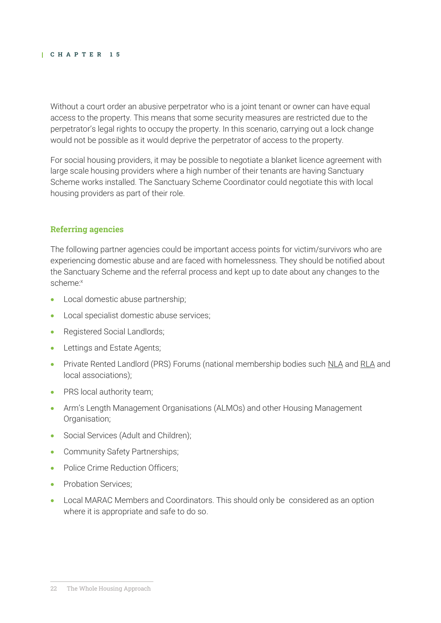Without a court order an abusive perpetrator who is a joint tenant or owner can have equal access to the property. This means that some security measures are restricted due to the perpetrator's legal rights to occupy the property. In this scenario, carrying out a lock change would not be possible as it would deprive the perpetrator of access to the property.

For social housing providers, it may be possible to negotiate a blanket licence agreement with large scale housing providers where a high number of their tenants are having Sanctuary Scheme works installed. The Sanctuary Scheme Coordinator could negotiate this with local housing providers as part of their role.

#### **Referring agencies**

The following partner agencies could be important access points for victim/survivors who are experiencing domestic abuse and are faced with homelessness. They should be notified about the Sanctuary Scheme and the referral process and kept up to date about any changes to the scheme:<sup>x</sup>

- Local domestic abuse partnership;
- Local specialist domestic abuse services;
- Registered Social Landlords;
- Lettings and Estate Agents;
- Private Rented Landlord (PRS) Forums (national membership bodies such [NLA](https://landlords.org.uk/) an[d RLA](https://www.rla.org.uk/) and local associations);
- PRS local authority team;
- Arm's Length Management Organisations (ALMOs) and other Housing Management Organisation;
- Social Services (Adult and Children);
- Community Safety Partnerships;
- Police Crime Reduction Officers:
- Probation Services:
- Local MARAC Members and Coordinators. This should only be considered as an option where it is appropriate and safe to do so.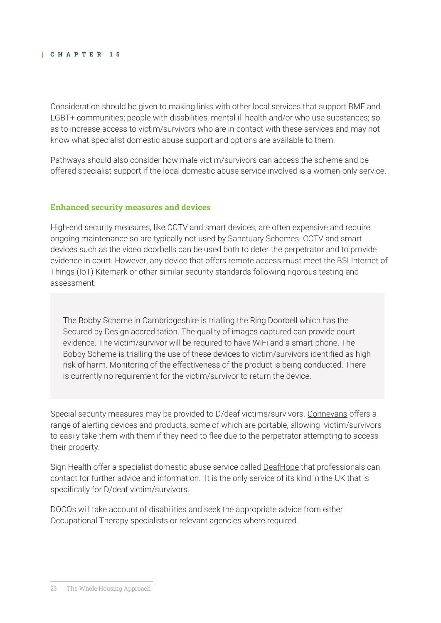Consideration should be given to making links with other local services that support BME and LGBT+ communities; people with disabilities, mental ill health and/or who use substances; so as to increase access to victim/survivors who are in contact with these services and may not know what specialist domestic abuse support and options are available to them.

Pathways should also consider how male victim/survivors can access the scheme and be offered specialist support if the local domestic abuse service involved is a women-only service.

#### **Enhanced security measures and devices**

High-end security measures, like CCTV and smart devices, are often expensive and require ongoing maintenance so are typically not used by Sanctuary Schemes. CCTV and smart devices such as the video doorbells can be used both to deter the perpetrator and to provide evidence in court. However, any device that offers remote access must meet the BSI Internet of Things (IoT) Kitemark or other similar security standards following rigorous testing and assessment.

The Bobby Scheme in Cambridgeshire is trialling the Ring Doorbell which has the Secured by Design accreditation. The quality of images captured can provide court evidence. The victim/survivor will be required to have WiFi and a smart phone. The Bobby Scheme is trialling the use of these devices to victim/survivors identified as high risk of harm. Monitoring of the effectiveness of the product is being conducted. There is currently no requirement for the victim/survivor to return the device.

Special security measures may be provided to D/deaf victims/survivors. [Connevans](https://www.connevans.co.uk/catalogue/122/Alerting-Devices) offers a range of alerting devices and products, some of which are portable, allowing victim/survivors to easily take them with them if they need to flee due to the perpetrator attempting to access their property.

Sign Health offer a specialist domestic abuse service called [DeafHope](https://www.signhealth.org.uk/our-projects/deafhope-projects/deafhope-service/refer-to-deafhope/) that professionals can contact for further advice and information. It is the only service of its kind in the UK that is specifically for D/deaf victim/survivors.

DOCOs will take account of disabilities and seek the appropriate advice from either Occupational Therapy specialists or relevant agencies where required.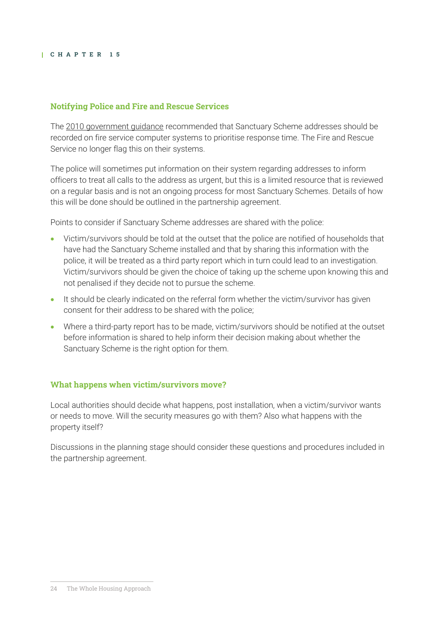## **Notifying Police and Fire and Rescue Services**

The [2010 government guidance](https://www.gov.uk/government/publications/sanctuary-schemes-for-households-at-risk-of-domestic-violence-guide-for-agencies) recommended that Sanctuary Scheme addresses should be recorded on fire service computer systems to prioritise response time. The Fire and Rescue Service no longer flag this on their systems.

The police will sometimes put information on their system regarding addresses to inform officers to treat all calls to the address as urgent, but this is a limited resource that is reviewed on a regular basis and is not an ongoing process for most Sanctuary Schemes. Details of how this will be done should be outlined in the partnership agreement.

Points to consider if Sanctuary Scheme addresses are shared with the police:

- Victim/survivors should be told at the outset that the police are notified of households that have had the Sanctuary Scheme installed and that by sharing this information with the police, it will be treated as a third party report which in turn could lead to an investigation. Victim/survivors should be given the choice of taking up the scheme upon knowing this and not penalised if they decide not to pursue the scheme.
- It should be clearly indicated on the referral form whether the victim/survivor has given consent for their address to be shared with the police;
- Where a third-party report has to be made, victim/survivors should be notified at the outset before information is shared to help inform their decision making about whether the Sanctuary Scheme is the right option for them.

## **What happens when victim/survivors move?**

Local authorities should decide what happens, post installation, when a victim/survivor wants or needs to move. Will the security measures go with them? Also what happens with the property itself?

Discussions in the planning stage should consider these questions and procedures included in the partnership agreement.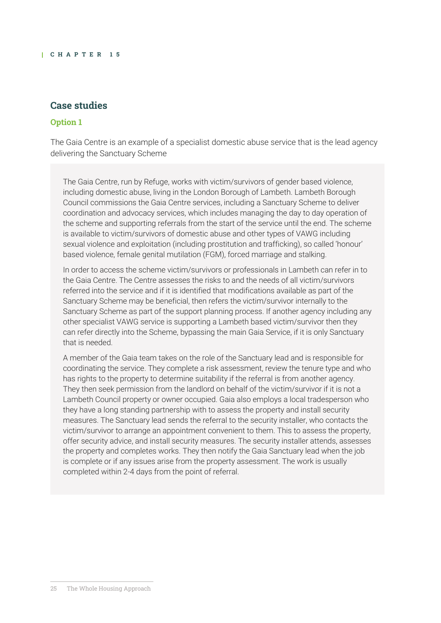## **Case studies**

#### **Option 1**

The Gaia Centre is an example of a specialist domestic abuse service that is the lead agency delivering the Sanctuary Scheme

The Gaia Centre, run by Refuge, works with victim/survivors of gender based violence, including domestic abuse, living in the London Borough of Lambeth. Lambeth Borough Council commissions the Gaia Centre services, including a Sanctuary Scheme to deliver coordination and advocacy services, which includes managing the day to day operation of the scheme and supporting referrals from the start of the service until the end. The scheme is available to victim/survivors of domestic abuse and other types of VAWG including sexual violence and exploitation (including prostitution and trafficking), so called 'honour' based violence, female genital mutilation (FGM), forced marriage and stalking.

In order to access the scheme victim/survivors or professionals in Lambeth can refer in to the Gaia Centre. The Centre assesses the risks to and the needs of all victim/survivors referred into the service and if it is identified that modifications available as part of the Sanctuary Scheme may be beneficial, then refers the victim/survivor internally to the Sanctuary Scheme as part of the support planning process. If another agency including any other specialist VAWG service is supporting a Lambeth based victim/survivor then they can refer directly into the Scheme, bypassing the main Gaia Service, if it is only Sanctuary that is needed.

A member of the Gaia team takes on the role of the Sanctuary lead and is responsible for coordinating the service. They complete a risk assessment, review the tenure type and who has rights to the property to determine suitability if the referral is from another agency. They then seek permission from the landlord on behalf of the victim/survivor if it is not a Lambeth Council property or owner occupied. Gaia also employs a local tradesperson who they have a long standing partnership with to assess the property and install security measures. The Sanctuary lead sends the referral to the security installer, who contacts the victim/survivor to arrange an appointment convenient to them. This to assess the property, offer security advice, and install security measures. The security installer attends, assesses the property and completes works. They then notify the Gaia Sanctuary lead when the job is complete or if any issues arise from the property assessment. The work is usually completed within 2-4 days from the point of referral.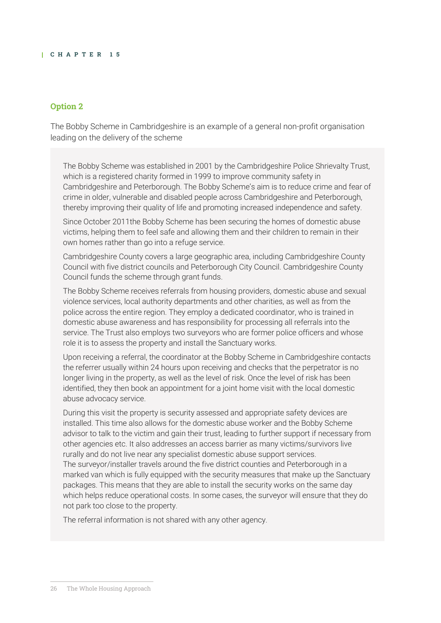#### **Option 2**

The Bobby Scheme in Cambridgeshire is an example of a general non-profit organisation leading on the delivery of the scheme

The Bobby Scheme was established in 2001 by the Cambridgeshire Police Shrievalty Trust, which is a registered charity formed in 1999 to improve community safety in Cambridgeshire and Peterborough. The Bobby Scheme's aim is to reduce crime and fear of crime in older, vulnerable and disabled people across Cambridgeshire and Peterborough, thereby improving their quality of life and promoting increased independence and safety.

Since October 2011the Bobby Scheme has been securing the homes of domestic abuse victims, helping them to feel safe and allowing them and their children to remain in their own homes rather than go into a refuge service.

Cambridgeshire County covers a large geographic area, including Cambridgeshire County Council with five district councils and Peterborough City Council. Cambridgeshire County Council funds the scheme through grant funds.

The Bobby Scheme receives referrals from housing providers, domestic abuse and sexual violence services, local authority departments and other charities, as well as from the police across the entire region. They employ a dedicated coordinator, who is trained in domestic abuse awareness and has responsibility for processing all referrals into the service. The Trust also employs two surveyors who are former police officers and whose role it is to assess the property and install the Sanctuary works.

Upon receiving a referral, the coordinator at the Bobby Scheme in Cambridgeshire contacts the referrer usually within 24 hours upon receiving and checks that the perpetrator is no longer living in the property, as well as the level of risk. Once the level of risk has been identified, they then book an appointment for a joint home visit with the local domestic abuse advocacy service.

During this visit the property is security assessed and appropriate safety devices are installed. This time also allows for the domestic abuse worker and the Bobby Scheme advisor to talk to the victim and gain their trust, leading to further support if necessary from other agencies etc. It also addresses an access barrier as many victims/survivors live rurally and do not live near any specialist domestic abuse support services. The surveyor/installer travels around the five district counties and Peterborough in a marked van which is fully equipped with the security measures that make up the Sanctuary packages. This means that they are able to install the security works on the same day which helps reduce operational costs. In some cases, the surveyor will ensure that they do not park too close to the property.

The referral information is not shared with any other agency.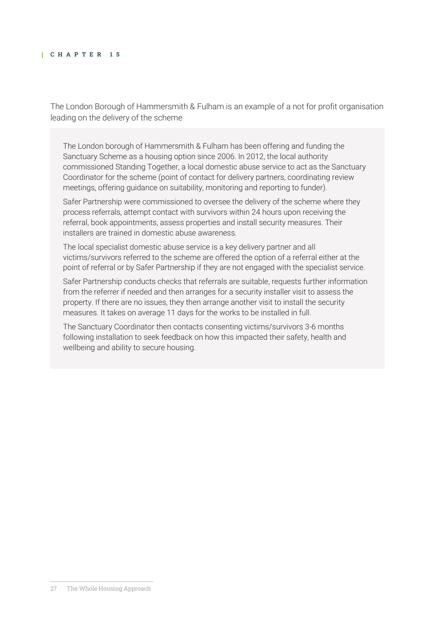The London Borough of Hammersmith & Fulham is an example of a not for profit organisation leading on the delivery of the scheme

The London borough of Hammersmith & Fulham has been offering and funding the Sanctuary Scheme as a housing option since 2006. In 2012, the local authority commissioned Standing Together, a local domestic abuse service to act as the Sanctuary Coordinator for the scheme (point of contact for delivery partners, coordinating review meetings, offering guidance on suitability, monitoring and reporting to funder).

Safer Partnership were commissioned to oversee the delivery of the scheme where they process referrals, attempt contact with survivors within 24 hours upon receiving the referral, book appointments, assess properties and install security measures. Their installers are trained in domestic abuse awareness.

The local specialist domestic abuse service is a key delivery partner and all victims/survivors referred to the scheme are offered the option of a referral either at the point of referral or by Safer Partnership if they are not engaged with the specialist service.

Safer Partnership conducts checks that referrals are suitable, requests further information from the referrer if needed and then arranges for a security installer visit to assess the property. If there are no issues, they then arrange another visit to install the security measures. It takes on average 11 days for the works to be installed in full.

The Sanctuary Coordinator then contacts consenting victims/survivors 3-6 months following installation to seek feedback on how this impacted their safety, health and wellbeing and ability to secure housing.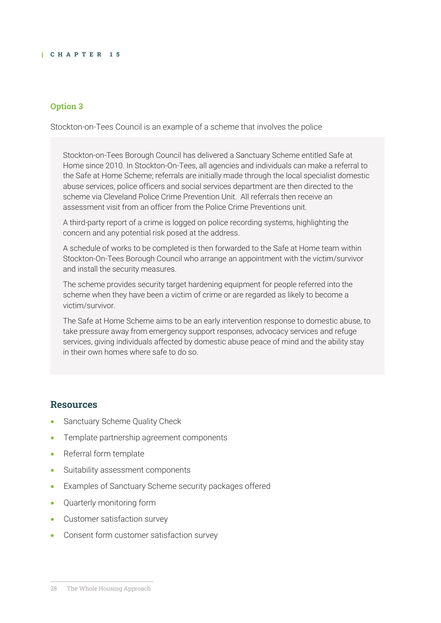#### **Option 3**

Stockton-on-Tees Council is an example of a scheme that involves the police

Stockton-on-Tees Borough Council has delivered a Sanctuary Scheme entitled Safe at Home since 2010. In Stockton-On-Tees, all agencies and individuals can make a referral to the Safe at Home Scheme; referrals are initially made through the local specialist domestic abuse services, police officers and social services department are then directed to the scheme via Cleveland Police Crime Prevention Unit. All referrals then receive an assessment visit from an officer from the Police Crime Preventions unit.

A third-party report of a crime is logged on police recording systems, highlighting the concern and any potential risk posed at the address.

A schedule of works to be completed is then forwarded to the Safe at Home team within Stockton-On-Tees Borough Council who arrange an appointment with the victim/survivor and install the security measures.

The scheme provides security target hardening equipment for people referred into the scheme when they have been a victim of crime or are regarded as likely to become a victim/survivor.

The Safe at Home Scheme aims to be an early intervention response to domestic abuse, to take pressure away from emergency support responses, advocacy services and refuge services, giving individuals affected by domestic abuse peace of mind and the ability stay in their own homes where safe to do so.

#### **Resources**

- Sanctuary Scheme Quality Check
- Template partnership agreement components
- Referral form template
- Suitability assessment components
- Examples of Sanctuary Scheme security packages offered
- Quarterly monitoring form
- Customer satisfaction survey
- Consent form customer satisfaction survey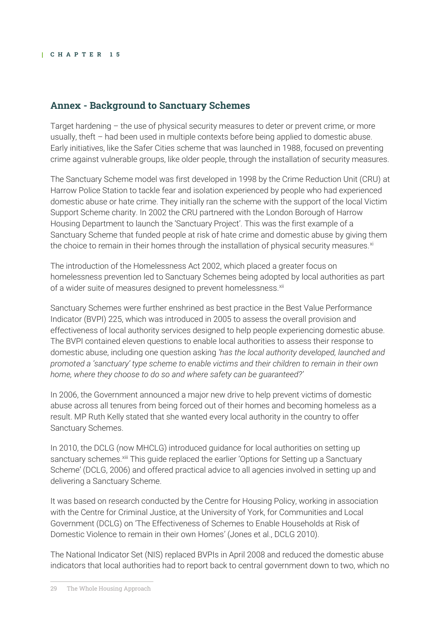## **Annex - Background to Sanctuary Schemes**

Target hardening – the use of physical security measures to deter or prevent crime, or more usually, theft – had been used in multiple contexts before being applied to domestic abuse. Early initiatives, like the Safer Cities scheme that was launched in 1988, focused on preventing crime against vulnerable groups, like older people, through the installation of security measures.

The Sanctuary Scheme model was first developed in 1998 by the Crime Reduction Unit (CRU) at Harrow Police Station to tackle fear and isolation experienced by people who had experienced domestic abuse or hate crime. They initially ran the scheme with the support of the local Victim Support Scheme charity. In 2002 the CRU partnered with the London Borough of Harrow Housing Department to launch the 'Sanctuary Project'. This was the first example of a Sanctuary Scheme that funded people at risk of hate crime and domestic abuse by giving them the choice to remain in their homes through the installation of physical security measures.<sup>xi</sup>

The introduction of the Homelessness Act 2002, which placed a greater focus on homelessness prevention led to Sanctuary Schemes being adopted by local authorities as part of a wider suite of measures designed to prevent homelessness.<sup>xii</sup>

Sanctuary Schemes were further enshrined as best practice in the Best Value Performance Indicator (BVPI) 225, which was introduced in 2005 to assess the overall provision and effectiveness of local authority services designed to help people experiencing domestic abuse. The BVPI contained eleven questions to enable local authorities to assess their response to domestic abuse, including one question asking *'has the local authority developed, launched and promoted a 'sanctuary' type scheme to enable victims and their children to remain in their own home, where they choose to do so and where safety can be guaranteed?'*

In 2006, the Government announced a major new drive to help prevent victims of domestic abuse across all tenures from being forced out of their homes and becoming homeless as a result. MP Ruth Kelly stated that she wanted every local authority in the country to offer Sanctuary Schemes.

In 2010, the DCLG (now MHCLG) introduced guidance for local authorities on setting up sanctuary schemes.<sup>xiii</sup> This guide replaced the earlier 'Options for Setting up a Sanctuary Scheme' (DCLG, 2006) and offered practical advice to all agencies involved in setting up and delivering a Sanctuary Scheme.

It was based on research conducted by the Centre for Housing Policy, working in association with the Centre for Criminal Justice, at the University of York, for Communities and Local Government (DCLG) on 'The Effectiveness of Schemes to Enable Households at Risk of Domestic Violence to remain in their own Homes' (Jones et al., DCLG 2010).

The [National Indicator Set \(NIS\)](https://uk.practicallaw.thomsonreuters.com/2-385-1416?originationContext=document&transitionType=DocumentItem&contextData=(sc.Default)) replaced BVPIs in April 2008 and reduced the domestic abuse indicators that local authorities had to report back to central government down to two, which no

<sup>29</sup> The Whole Housing Approach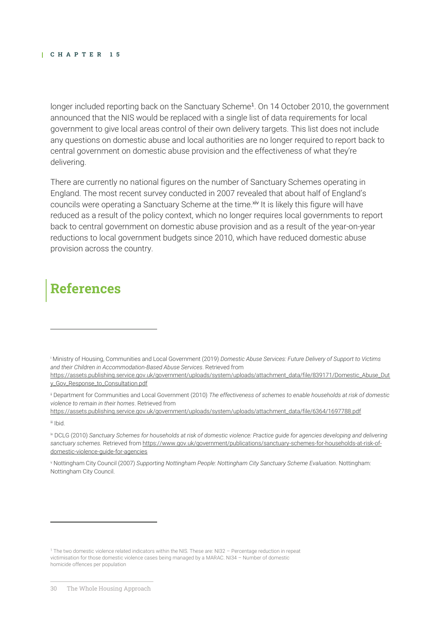longer included reporting back on the Sanctuary Scheme<sup>1</sup>. On 14 October 2010, the government announced that the NIS would be replaced with a single list of data requirements for local government to give local areas control of their own delivery targets. This list does not include any questions on domestic abuse and local authorities are no longer required to report back to central government on domestic abuse provision and the effectiveness of what they're delivering.

There are currently no national figures on the number of Sanctuary Schemes operating in England. The most recent survey conducted in 2007 revealed that about half of England's councils were operating a Sanctuary Scheme at the time.<sup>xiv</sup> It is likely this figure will have reduced as a result of the policy context, which no longer requires local governments to report back to central government on domestic abuse provision and as a result of the year-on-year reductions to local government budgets since 2010, which have reduced domestic abuse provision across the country.

## **References**

<sup>i</sup> Ministry of Housing, Communities and Local Government (2019) *Domestic Abuse Services: Future Delivery of Support to Victims and their Children in Accommodation-Based Abuse Services*. Retrieved from

[https://assets.publishing.service.gov.uk/government/uploads/system/uploads/attachment\\_data/file/839171/Domestic\\_Abuse\\_Dut](https://assets.publishing.service.gov.uk/government/uploads/system/uploads/attachment_data/file/839171/Domestic_Abuse_Duty_Gov_Response_to_Consultation.pdf) [y\\_Gov\\_Response\\_to\\_Consultation.pdf](https://assets.publishing.service.gov.uk/government/uploads/system/uploads/attachment_data/file/839171/Domestic_Abuse_Duty_Gov_Response_to_Consultation.pdf)

ii Department for Communities and Local Government (2010) *The effectiveness of schemes to enable households at risk of domestic violence to remain in their homes*. Retrieved from

[https://assets.publishing.service.gov.uk/government/uploads/system/uploads/attachment\\_data/file/6364/1697788.pdf](https://assets.publishing.service.gov.uk/government/uploads/system/uploads/attachment_data/file/6364/1697788.pdf)

iii Ibid.

iv DCLG (2010) *Sanctuary Schemes for households at risk of domestic violence: Practice guide for agencies developing and delivering sanctuary schemes.* Retrieved fro[m https://www.gov.uk/government/publications/sanctuary-schemes-for-households-at-risk-of](https://www.gov.uk/government/publications/sanctuary-schemes-for-households-at-risk-of-domestic-violence-guide-for-agencies)[domestic-violence-guide-for-agencies](https://www.gov.uk/government/publications/sanctuary-schemes-for-households-at-risk-of-domestic-violence-guide-for-agencies)

<sup>v</sup> Nottingham City Council (2007) *Supporting Nottingham People: Nottingham City Sanctuary Scheme Evaluation*. Nottingham: Nottingham City Council.

<sup>1</sup> The two domestic violence related indicators within the NIS. These are: NI32 – Percentage reduction in repeat victimisation for those domestic violence cases being managed by a MARAC. NI34 – Number of domestic homicide offences per population